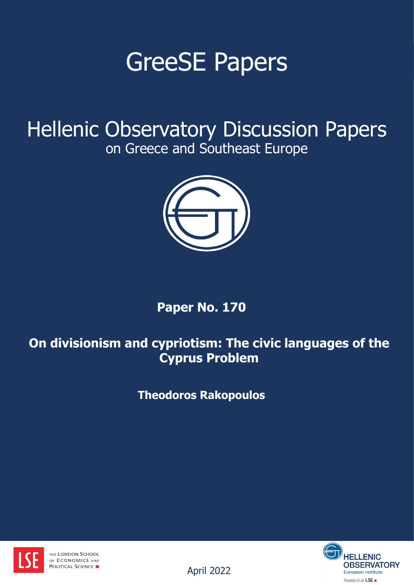# GreeSE Papers

Hellenic Observatory Discussion Papers on Greece and Southeast Europe



# **Paper No. 170**

# **On divisionism and cypriotism: The civic languages of the Cyprus Problem**

**Theodoros Rakopoulos**





April 2022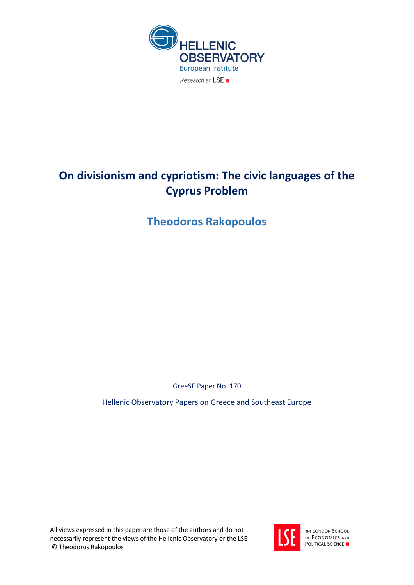

# **On divisionism and cypriotism: The civic languages of the Cyprus Problem**

**Theodoros Rakopoulos**

GreeSE Paper No. 170

Hellenic Observatory Papers on Greece and Southeast Europe

All views expressed in this paper are those of the authors and do not necessarily represent the views of the Hellenic Observatory or the LSE © Theodoros Rakopoulos



THE LONDON SCHOOL OF ECONOMICS AND **POLITICAL SCIENCE**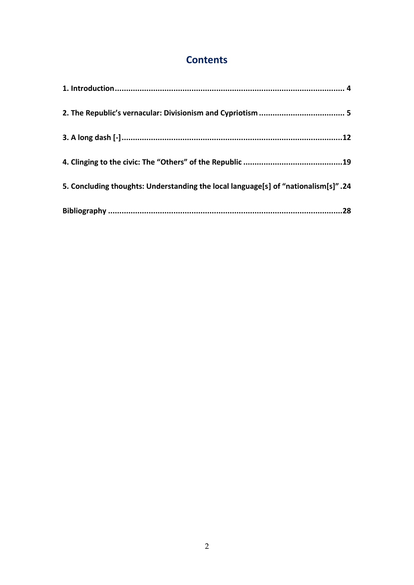# **Contents**

| 5. Concluding thoughts: Understanding the local language[s] of "nationalism[s]".24 |  |
|------------------------------------------------------------------------------------|--|
|                                                                                    |  |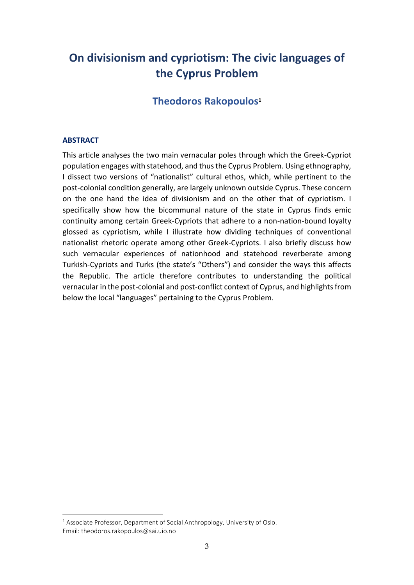# **On divisionism and cypriotism: The civic languages of the Cyprus Problem**

### **Theodoros Rakopoulos<sup>1</sup>**

#### **ABSTRACT**

This article analyses the two main vernacular poles through which the Greek-Cypriot population engages with statehood, and thus the Cyprus Problem. Using ethnography, I dissect two versions of "nationalist" cultural ethos, which, while pertinent to the post-colonial condition generally, are largely unknown outside Cyprus. These concern on the one hand the idea of divisionism and on the other that of cypriotism. I specifically show how the bicommunal nature of the state in Cyprus finds emic continuity among certain Greek-Cypriots that adhere to a non-nation-bound loyalty glossed as cypriotism, while I illustrate how dividing techniques of conventional nationalist rhetoric operate among other Greek-Cypriots. I also briefly discuss how such vernacular experiences of nationhood and statehood reverberate among Turkish-Cypriots and Turks (the state's "Others") and consider the ways this affects the Republic. The article therefore contributes to understanding the political vernacular in the post-colonial and post-conflict context of Cyprus, and highlights from below the local "languages" pertaining to the Cyprus Problem.

 $1$  Associate Professor, Department of Social Anthropology, University of Oslo. Email: theodoros.rakopoulos@sai.uio.no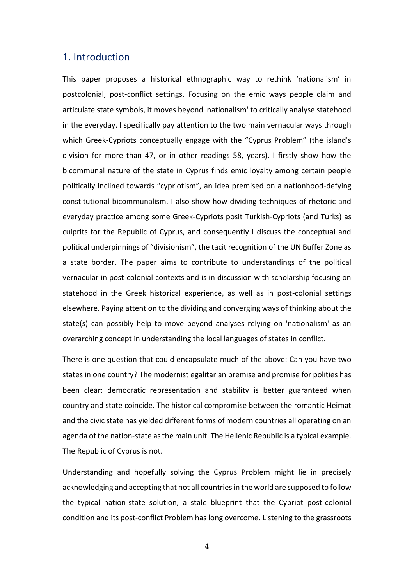#### <span id="page-4-0"></span>1. Introduction

This paper proposes a historical ethnographic way to rethink 'nationalism' in postcolonial, post-conflict settings. Focusing on the emic ways people claim and articulate state symbols, it moves beyond 'nationalism' to critically analyse statehood in the everyday. I specifically pay attention to the two main vernacular ways through which Greek-Cypriots conceptually engage with the "Cyprus Problem" (the island's division for more than 47, or in other readings 58, years). I firstly show how the bicommunal nature of the state in Cyprus finds emic loyalty among certain people politically inclined towards "cypriotism", an idea premised on a nationhood-defying constitutional bicommunalism. I also show how dividing techniques of rhetoric and everyday practice among some Greek-Cypriots posit Turkish-Cypriots (and Turks) as culprits for the Republic of Cyprus, and consequently I discuss the conceptual and political underpinnings of "divisionism", the tacit recognition of the UN Buffer Zone as a state border. The paper aims to contribute to understandings of the political vernacular in post-colonial contexts and is in discussion with scholarship focusing on statehood in the Greek historical experience, as well as in post-colonial settings elsewhere. Paying attention to the dividing and converging ways of thinking about the state(s) can possibly help to move beyond analyses relying on 'nationalism' as an overarching concept in understanding the local languages of states in conflict.

There is one question that could encapsulate much of the above: Can you have two states in one country? The modernist egalitarian premise and promise for polities has been clear: democratic representation and stability is better guaranteed when country and state coincide. The historical compromise between the romantic Heimat and the civic state has yielded different forms of modern countries all operating on an agenda of the nation-state as the main unit. The Hellenic Republic is a typical example. The Republic of Cyprus is not.

Understanding and hopefully solving the Cyprus Problem might lie in precisely acknowledging and accepting that not all countries in the world are supposed to follow the typical nation-state solution, a stale blueprint that the Cypriot post-colonial condition and its post-conflict Problem has long overcome. Listening to the grassroots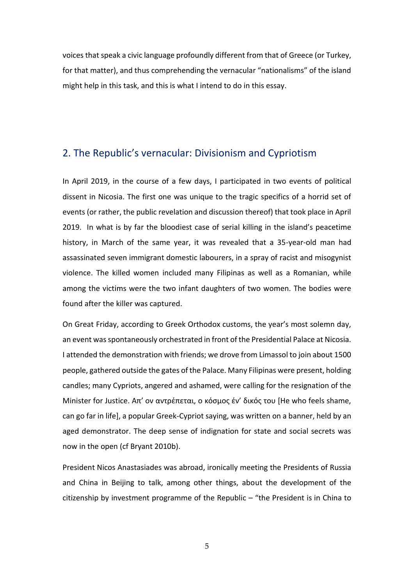voices that speak a civic language profoundly different from that of Greece (or Turkey, for that matter), and thus comprehending the vernacular "nationalisms" of the island might help in this task, and this is what I intend to do in this essay.

### <span id="page-5-0"></span>2. The Republic's vernacular: Divisionism and Cypriotism

In April 2019, in the course of a few days, I participated in two events of political dissent in Nicosia. The first one was unique to the tragic specifics of a horrid set of events (or rather, the public revelation and discussion thereof) that took place in April 2019. In what is by far the bloodiest case of serial killing in the island's peacetime history, in March of the same year, it was revealed that a 35-year-old man had assassinated seven immigrant domestic labourers, in a spray of racist and misogynist violence. The killed women included many Filipinas as well as a Romanian, while among the victims were the two infant daughters of two women. The bodies were found after the killer was captured.

On Great Friday, according to Greek Orthodox customs, the year's most solemn day, an event was spontaneously orchestrated in front of the Presidential Palace at Nicosia. I attended the demonstration with friends; we drove from Limassol to join about 1500 people, gathered outside the gates of the Palace. Many Filipinas were present, holding candles; many Cypriots, angered and ashamed, were calling for the resignation of the Minister for Justice. Απ' ον αντρέπεται, ο κόσμος έν' δικός του [He who feels shame, can go far in life], a popular Greek-Cypriot saying, was written on a banner, held by an aged demonstrator. The deep sense of indignation for state and social secrets was now in the open (cf Bryant 2010b).

President Nicos Anastasiades was abroad, ironically meeting the Presidents of Russia and China in Beijing to talk, among other things, about the development of the citizenship by investment programme of the Republic – "the President is in China to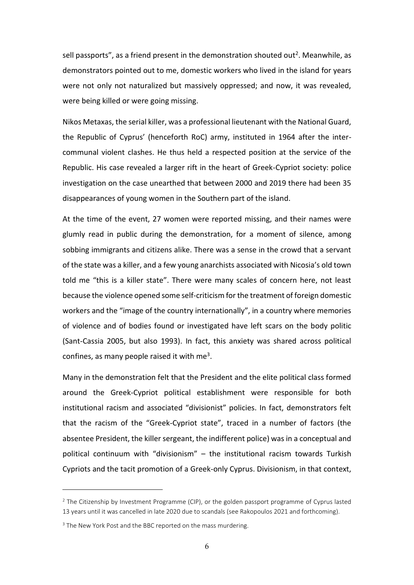sell passports", as a friend present in the demonstration shouted out<sup>2</sup>. Meanwhile, as demonstrators pointed out to me, domestic workers who lived in the island for years were not only not naturalized but massively oppressed; and now, it was revealed, were being killed or were going missing.

Nikos Metaxas, the serial killer, was a professional lieutenant with the National Guard, the Republic of Cyprus' (henceforth RoC) army, instituted in 1964 after the intercommunal violent clashes. He thus held a respected position at the service of the Republic. His case revealed a larger rift in the heart of Greek-Cypriot society: police investigation on the case unearthed that between 2000 and 2019 there had been 35 disappearances of young women in the Southern part of the island.

At the time of the event, 27 women were reported missing, and their names were glumly read in public during the demonstration, for a moment of silence, among sobbing immigrants and citizens alike. There was a sense in the crowd that a servant of the state was a killer, and a few young anarchists associated with Nicosia's old town told me "this is a killer state". There were many scales of concern here, not least because the violence opened some self-criticism for the treatment of foreign domestic workers and the "image of the country internationally", in a country where memories of violence and of bodies found or investigated have left scars on the body politic (Sant-Cassia 2005, but also 1993). In fact, this anxiety was shared across political confines, as many people raised it with me<sup>3</sup>.

Many in the demonstration felt that the President and the elite political class formed around the Greek-Cypriot political establishment were responsible for both institutional racism and associated "divisionist" policies. In fact, demonstrators felt that the racism of the "Greek-Cypriot state", traced in a number of factors (the absentee President, the killer sergeant, the indifferent police) was in a conceptual and political continuum with "divisionism" – the institutional racism towards Turkish Cypriots and the tacit promotion of a Greek-only Cyprus. Divisionism, in that context,

<sup>&</sup>lt;sup>2</sup> The Citizenship by Investment Programme (CIP), or the golden passport programme of Cyprus lasted 13 years until it was cancelled in late 2020 due to scandals (see Rakopoulos 2021 and forthcoming).

<sup>&</sup>lt;sup>3</sup> The New York Post and the BBC reported on the mass murdering.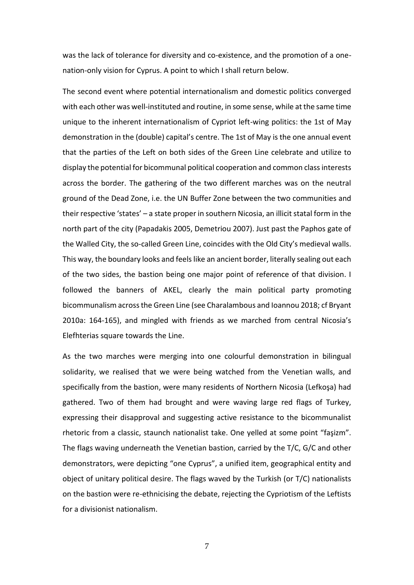was the lack of tolerance for diversity and co-existence, and the promotion of a onenation-only vision for Cyprus. A point to which I shall return below.

The second event where potential internationalism and domestic politics converged with each other was well-instituted and routine, in some sense, while at the same time unique to the inherent internationalism of Cypriot left-wing politics: the 1st of May demonstration in the (double) capital's centre. The 1st of May is the one annual event that the parties of the Left on both sides of the Green Line celebrate and utilize to display the potential for bicommunal political cooperation and common class interests across the border. The gathering of the two different marches was on the neutral ground of the Dead Zone, i.e. the UN Buffer Zone between the two communities and their respective 'states' – a state proper in southern Nicosia, an illicit statal form in the north part of the city (Papadakis 2005, Demetriou 2007). Just past the Paphos gate of the Walled City, the so-called Green Line, coincides with the Old City's medieval walls. This way, the boundary looks and feels like an ancient border, literally sealing out each of the two sides, the bastion being one major point of reference of that division. I followed the banners of AKEL, clearly the main political party promoting bicommunalism across the Green Line (see Charalambous and Ioannou 2018; cf Bryant 2010a: 164-165), and mingled with friends as we marched from central Nicosia's Elefhterias square towards the Line.

As the two marches were merging into one colourful demonstration in bilingual solidarity, we realised that we were being watched from the Venetian walls, and specifically from the bastion, were many residents of Northern Nicosia (Lefkoşa) had gathered. Two of them had brought and were waving large red flags of Turkey, expressing their disapproval and suggesting active resistance to the bicommunalist rhetoric from a classic, staunch nationalist take. One yelled at some point "faşizm". The flags waving underneath the Venetian bastion, carried by the T/C, G/C and other demonstrators, were depicting "one Cyprus", a unified item, geographical entity and object of unitary political desire. The flags waved by the Turkish (or T/C) nationalists on the bastion were re-ethnicising the debate, rejecting the Cypriotism of the Leftists for a divisionist nationalism.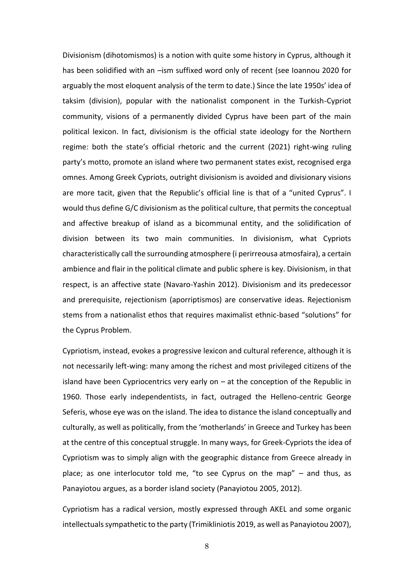Divisionism (dihotomismos) is a notion with quite some history in Cyprus, although it has been solidified with an -ism suffixed word only of recent (see Ioannou 2020 for arguably the most eloquent analysis of the term to date.) Since the late 1950s' idea of taksim (division), popular with the nationalist component in the Turkish-Cypriot community, visions of a permanently divided Cyprus have been part of the main political lexicon. In fact, divisionism is the official state ideology for the Northern regime: both the state's official rhetoric and the current (2021) right-wing ruling party's motto, promote an island where two permanent states exist, recognised erga omnes. Among Greek Cypriots, outright divisionism is avoided and divisionary visions are more tacit, given that the Republic's official line is that of a "united Cyprus". I would thus define G/C divisionism as the political culture, that permits the conceptual and affective breakup of island as a bicommunal entity, and the solidification of division between its two main communities. In divisionism, what Cypriots characteristically call the surrounding atmosphere (i perirreousa atmosfaira), a certain ambience and flair in the political climate and public sphere is key. Divisionism, in that respect, is an affective state (Navaro-Yashin 2012). Divisionism and its predecessor and prerequisite, rejectionism (aporriptismos) are conservative ideas. Rejectionism stems from a nationalist ethos that requires maximalist ethnic-based "solutions" for the Cyprus Problem.

Cypriotism, instead, evokes a progressive lexicon and cultural reference, although it is not necessarily left-wing: many among the richest and most privileged citizens of the island have been Cypriocentrics very early on – at the conception of the Republic in 1960. Those early independentists, in fact, outraged the Helleno-centric George Seferis, whose eye was on the island. The idea to distance the island conceptually and culturally, as well as politically, from the 'motherlands' in Greece and Turkey has been at the centre of this conceptual struggle. In many ways, for Greek-Cypriots the idea of Cypriotism was to simply align with the geographic distance from Greece already in place; as one interlocutor told me, "to see Cyprus on the map" – and thus, as Panayiotou argues, as a border island society (Panayiotou 2005, 2012).

Cypriotism has a radical version, mostly expressed through AKEL and some organic intellectuals sympathetic to the party (Trimikliniotis 2019, as well as Panayiotou 2007),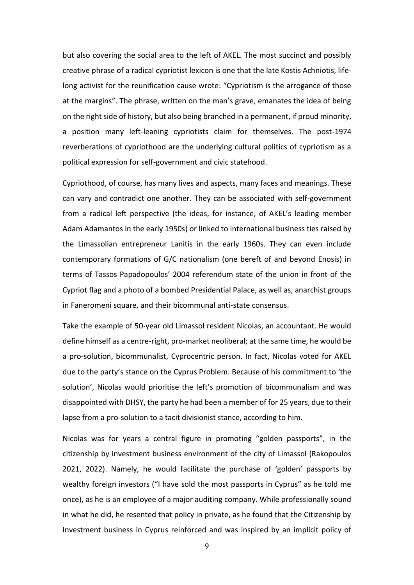but also covering the social area to the left of AKEL. The most succinct and possibly creative phrase of a radical cypriotist lexicon is one that the late Kostis Achniotis, lifelong activist for the reunification cause wrote: "Cypriotism is the arrogance of those at the margins". The phrase, written on the man's grave, emanates the idea of being on the right side of history, but also being branched in a permanent, if proud minority, a position many left-leaning cypriotists claim for themselves. The post-1974 reverberations of cypriothood are the underlying cultural politics of cypriotism as a political expression for self-government and civic statehood.

Cypriothood, of course, has many lives and aspects, many faces and meanings. These can vary and contradict one another. They can be associated with self-government from a radical left perspective (the ideas, for instance, of AKEL's leading member Adam Adamantos in the early 1950s) or linked to international business ties raised by the Limassolian entrepreneur Lanitis in the early 1960s. They can even include contemporary formations of G/C nationalism (one bereft of and beyond Enosis) in terms of Tassos Papadopoulos' 2004 referendum state of the union in front of the Cypriot flag and a photo of a bombed Presidential Palace, as well as, anarchist groups in Faneromeni square, and their bicommunal anti-state consensus.

Take the example of 50-year old Limassol resident Nicolas, an accountant. He would define himself as a centre-right, pro-market neoliberal; at the same time, he would be a pro-solution, bicommunalist, Cyprocentric person. In fact, Nicolas voted for AKEL due to the party's stance on the Cyprus Problem. Because of his commitment to 'the solution', Nicolas would prioritise the left's promotion of bicommunalism and was disappointed with DHSY, the party he had been a member of for 25 years, due to their lapse from a pro-solution to a tacit divisionist stance, according to him.

Nicolas was for years a central figure in promoting "golden passports", in the citizenship by investment business environment of the city of Limassol (Rakopoulos 2021, 2022). Namely, he would facilitate the purchase of 'golden' passports by wealthy foreign investors ("I have sold the most passports in Cyprus" as he told me once), as he is an employee of a major auditing company. While professionally sound in what he did, he resented that policy in private, as he found that the Citizenship by Investment business in Cyprus reinforced and was inspired by an implicit policy of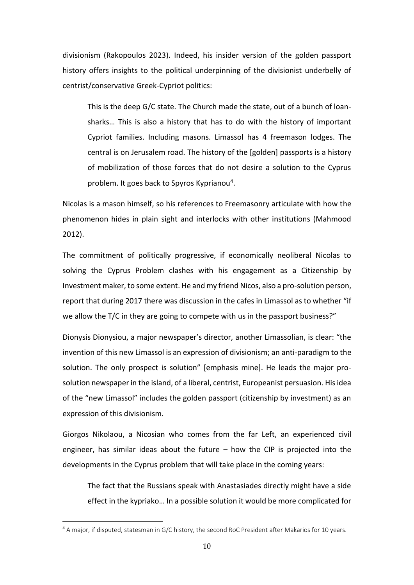divisionism (Rakopoulos 2023). Indeed, his insider version of the golden passport history offers insights to the political underpinning of the divisionist underbelly of centrist/conservative Greek-Cypriot politics:

This is the deep G/C state. The Church made the state, out of a bunch of loansharks… This is also a history that has to do with the history of important Cypriot families. Including masons. Limassol has 4 freemason lodges. The central is on Jerusalem road. The history of the [golden] passports is a history of mobilization of those forces that do not desire a solution to the Cyprus problem. It goes back to Spyros Kyprianou<sup>4</sup>.

Nicolas is a mason himself, so his references to Freemasonry articulate with how the phenomenon hides in plain sight and interlocks with other institutions (Mahmood 2012).

The commitment of politically progressive, if economically neoliberal Nicolas to solving the Cyprus Problem clashes with his engagement as a Citizenship by Investment maker, to some extent. He and my friend Nicos, also a pro-solution person, report that during 2017 there was discussion in the cafes in Limassol as to whether "if we allow the T/C in they are going to compete with us in the passport business?"

Dionysis Dionysiou, a major newspaper's director, another Limassolian, is clear: "the invention of this new Limassol is an expression of divisionism; an anti-paradigm to the solution. The only prospect is solution" [emphasis mine]. He leads the major prosolution newspaper in the island, of a liberal, centrist, Europeanist persuasion. His idea of the "new Limassol" includes the golden passport (citizenship by investment) as an expression of this divisionism.

Giorgos Nikolaou, a Nicosian who comes from the far Left, an experienced civil engineer, has similar ideas about the future  $-$  how the CIP is projected into the developments in the Cyprus problem that will take place in the coming years:

The fact that the Russians speak with Anastasiades directly might have a side effect in the kypriako… In a possible solution it would be more complicated for

<sup>&</sup>lt;sup>4</sup> A major, if disputed, statesman in G/C history, the second RoC President after Makarios for 10 years.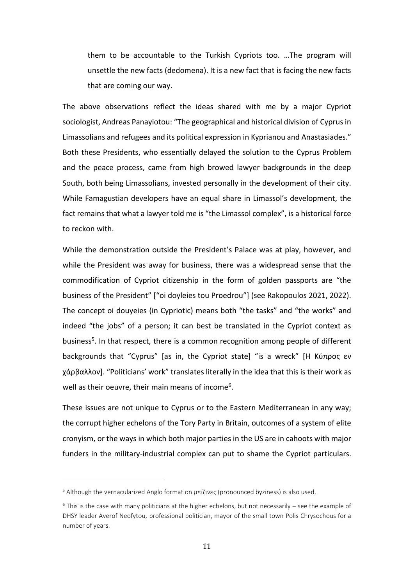them to be accountable to the Turkish Cypriots too. …The program will unsettle the new facts (dedomena). It is a new fact that is facing the new facts that are coming our way.

The above observations reflect the ideas shared with me by a major Cypriot sociologist, Andreas Panayiotou: "The geographical and historical division of Cyprus in Limassolians and refugees and its political expression in Kyprianou and Anastasiades." Both these Presidents, who essentially delayed the solution to the Cyprus Problem and the peace process, came from high browed lawyer backgrounds in the deep South, both being Limassolians, invested personally in the development of their city. While Famagustian developers have an equal share in Limassol's development, the fact remains that what a lawyer told me is "the Limassol complex", is a historical force to reckon with.

While the demonstration outside the President's Palace was at play, however, and while the President was away for business, there was a widespread sense that the commodification of Cypriot citizenship in the form of golden passports are "the business of the President" ["oi doyleies tou Proedrou"] (see Rakopoulos 2021, 2022). The concept oi douyeies (in Cypriotic) means both "the tasks" and "the works" and indeed "the jobs" of a person; it can best be translated in the Cypriot context as business<sup>5</sup>. In that respect, there is a common recognition among people of different backgrounds that "Cyprus" [as in, the Cypriot state] "is a wreck" [Η Κύπρος εν χάρβαλλον]. "Politicians' work" translates literally in the idea that this is their work as well as their oeuvre, their main means of income<sup>6</sup>.

These issues are not unique to Cyprus or to the Eastern Mediterranean in any way; the corrupt higher echelons of the Tory Party in Britain, outcomes of a system of elite cronyism, or the ways in which both major parties in the US are in cahoots with major funders in the military-industrial complex can put to shame the Cypriot particulars.

<sup>5</sup> Although the vernacularized Anglo formation μπίζινες (pronounced byziness) is also used.

 $6$  This is the case with many politicians at the higher echelons, but not necessarily – see the example of DHSY leader Averof Neofytou, professional politician, mayor of the small town Polis Chrysochous for a number of years.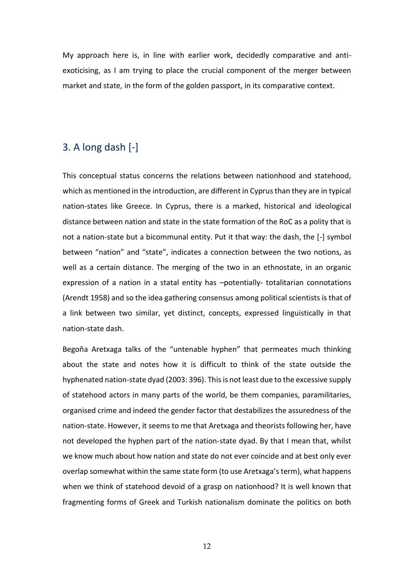My approach here is, in line with earlier work, decidedly comparative and antiexoticising, as I am trying to place the crucial component of the merger between market and state, in the form of the golden passport, in its comparative context.

### <span id="page-12-0"></span>3. A long dash [-]

This conceptual status concerns the relations between nationhood and statehood, which as mentioned in the introduction, are different in Cyprus than they are in typical nation-states like Greece. In Cyprus, there is a marked, historical and ideological distance between nation and state in the state formation of the RoC as a polity that is not a nation-state but a bicommunal entity. Put it that way: the dash, the [-] symbol between "nation" and "state", indicates a connection between the two notions, as well as a certain distance. The merging of the two in an ethnostate, in an organic expression of a nation in a statal entity has –potentially- totalitarian connotations (Arendt 1958) and so the idea gathering consensus among political scientists is that of a link between two similar, yet distinct, concepts, expressed linguistically in that nation-state dash.

Begoña Aretxaga talks of the "untenable hyphen" that permeates much thinking about the state and notes how it is difficult to think of the state outside the hyphenated nation-state dyad (2003: 396). This is not least due to the excessive supply of statehood actors in many parts of the world, be them companies, paramilitaries, organised crime and indeed the gender factor that destabilizes the assuredness of the nation-state. However, it seems to me that Aretxaga and theorists following her, have not developed the hyphen part of the nation-state dyad. By that I mean that, whilst we know much about how nation and state do not ever coincide and at best only ever overlap somewhat within the same state form (to use Aretxaga's term), what happens when we think of statehood devoid of a grasp on nationhood? It is well known that fragmenting forms of Greek and Turkish nationalism dominate the politics on both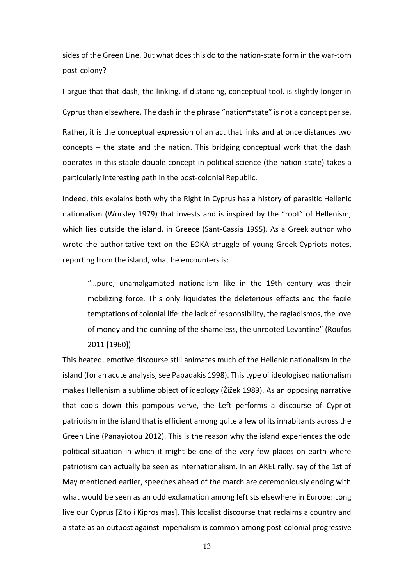sides of the Green Line. But what does this do to the nation-state form in the war-torn post-colony?

I argue that that dash, the linking, if distancing, conceptual tool, is slightly longer in Cyprus than elsewhere. The dash in the phrase "nation**-**state" is not a concept per se.

Rather, it is the conceptual expression of an act that links and at once distances two concepts – the state and the nation. This bridging conceptual work that the dash operates in this staple double concept in political science (the nation-state) takes a particularly interesting path in the post-colonial Republic.

Indeed, this explains both why the Right in Cyprus has a history of parasitic Hellenic nationalism (Worsley 1979) that invests and is inspired by the "root" of Hellenism, which lies outside the island, in Greece (Sant-Cassia 1995). As a Greek author who wrote the authoritative text on the EOKA struggle of young Greek-Cypriots notes, reporting from the island, what he encounters is:

"…pure, unamalgamated nationalism like in the 19th century was their mobilizing force. This only liquidates the deleterious effects and the facile temptations of colonial life: the lack of responsibility, the ragiadismos, the love of money and the cunning of the shameless, the unrooted Levantine" (Roufos 2011 [1960])

This heated, emotive discourse still animates much of the Hellenic nationalism in the island (for an acute analysis, see Papadakis 1998). This type of ideologised nationalism makes Hellenism a sublime object of ideology (Žižek 1989). As an opposing narrative that cools down this pompous verve, the Left performs a discourse of Cypriot patriotism in the island that is efficient among quite a few of its inhabitants across the Green Line (Panayiotou 2012). This is the reason why the island experiences the odd political situation in which it might be one of the very few places on earth where patriotism can actually be seen as internationalism. In an AKEL rally, say of the 1st of May mentioned earlier, speeches ahead of the march are ceremoniously ending with what would be seen as an odd exclamation among leftists elsewhere in Europe: Long live our Cyprus [Zito i Kipros mas]. This localist discourse that reclaims a country and a state as an outpost against imperialism is common among post-colonial progressive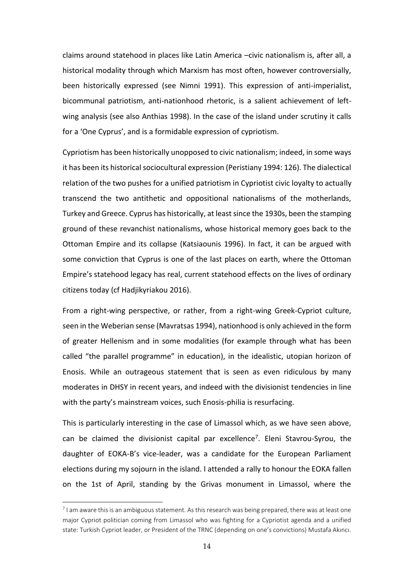claims around statehood in places like Latin America –civic nationalism is, after all, a historical modality through which Marxism has most often, however controversially, been historically expressed (see Nimni 1991). This expression of anti-imperialist, bicommunal patriotism, anti-nationhood rhetoric, is a salient achievement of leftwing analysis (see also Anthias 1998). In the case of the island under scrutiny it calls for a 'One Cyprus', and is a formidable expression of cypriotism.

Cypriotism has been historically unopposed to civic nationalism; indeed, in some ways it has been its historical sociocultural expression (Peristiany 1994: 126). The dialectical relation of the two pushes for a unified patriotism in Cypriotist civic loyalty to actually transcend the two antithetic and oppositional nationalisms of the motherlands, Turkey and Greece. Cyprus has historically, at least since the 1930s, been the stamping ground of these revanchist nationalisms, whose historical memory goes back to the Ottoman Empire and its collapse (Katsiaounis 1996). In fact, it can be argued with some conviction that Cyprus is one of the last places on earth, where the Ottoman Empire's statehood legacy has real, current statehood effects on the lives of ordinary citizens today (cf Hadjikyriakou 2016).

From a right-wing perspective, or rather, from a right-wing Greek-Cypriot culture, seen in the Weberian sense (Mavratsas 1994), nationhood is only achieved in the form of greater Hellenism and in some modalities (for example through what has been called "the parallel programme" in education), in the idealistic, utopian horizon of Enosis. While an outrageous statement that is seen as even ridiculous by many moderates in DHSY in recent years, and indeed with the divisionist tendencies in line with the party's mainstream voices, such Enosis-philia is resurfacing.

This is particularly interesting in the case of Limassol which, as we have seen above, can be claimed the divisionist capital par excellence<sup>7</sup>. Eleni Stavrou-Syrou, the daughter of EOKA-B's vice-leader, was a candidate for the European Parliament elections during my sojourn in the island. I attended a rally to honour the EOKA fallen on the 1st of April, standing by the Grivas monument in Limassol, where the

 $^7$  I am aware this is an ambiguous statement. As this research was being prepared, there was at least one major Cypriot politician coming from Limassol who was fighting for a Cypriotist agenda and a unified state: Turkish Cypriot leader, or President of the TRNC (depending on one's convictions) Mustafa Akıncı.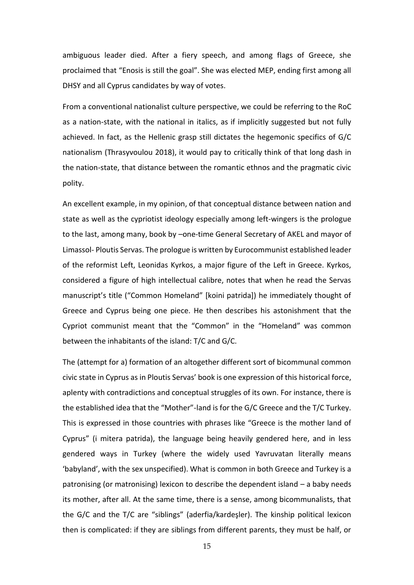ambiguous leader died. After a fiery speech, and among flags of Greece, she proclaimed that "Enosis is still the goal". She was elected MEP, ending first among all DHSY and all Cyprus candidates by way of votes.

From a conventional nationalist culture perspective, we could be referring to the RoC as a nation-state, with the national in italics, as if implicitly suggested but not fully achieved. In fact, as the Hellenic grasp still dictates the hegemonic specifics of G/C nationalism (Thrasyvoulou 2018), it would pay to critically think of that long dash in the nation-state, that distance between the romantic ethnos and the pragmatic civic polity.

An excellent example, in my opinion, of that conceptual distance between nation and state as well as the cypriotist ideology especially among left-wingers is the prologue to the last, among many, book by –one-time General Secretary of AKEL and mayor of Limassol- Ploutis Servas. The prologue is written by Eurocommunist established leader of the reformist Left, Leonidas Kyrkos, a major figure of the Left in Greece. Kyrkos, considered a figure of high intellectual calibre, notes that when he read the Servas manuscript's title ("Common Homeland" [koini patrida]) he immediately thought of Greece and Cyprus being one piece. He then describes his astonishment that the Cypriot communist meant that the "Common" in the "Homeland" was common between the inhabitants of the island: T/C and G/C.

The (attempt for a) formation of an altogether different sort of bicommunal common civic state in Cyprus as in Ploutis Servas' book is one expression of this historical force, aplenty with contradictions and conceptual struggles of its own. For instance, there is the established idea that the "Mother"-land is for the G/C Greece and the T/C Turkey. This is expressed in those countries with phrases like "Greece is the mother land of Cyprus" (i mitera patrida), the language being heavily gendered here, and in less gendered ways in Turkey (where the widely used Yavruvatan literally means 'babyland', with the sex unspecified). What is common in both Greece and Turkey is a patronising (or matronising) lexicon to describe the dependent island – a baby needs its mother, after all. At the same time, there is a sense, among bicommunalists, that the G/C and the T/C are "siblings" (aderfia/kardeşler). The kinship political lexicon then is complicated: if they are siblings from different parents, they must be half, or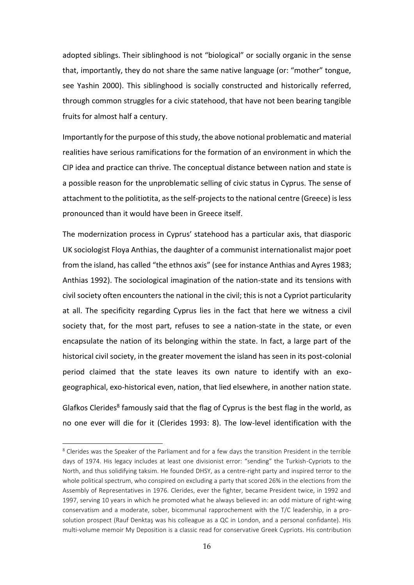adopted siblings. Their siblinghood is not "biological" or socially organic in the sense that, importantly, they do not share the same native language (or: "mother" tongue, see Yashin 2000). This siblinghood is socially constructed and historically referred, through common struggles for a civic statehood, that have not been bearing tangible fruits for almost half a century.

Importantly for the purpose of this study, the above notional problematic and material realities have serious ramifications for the formation of an environment in which the CIP idea and practice can thrive. The conceptual distance between nation and state is a possible reason for the unproblematic selling of civic status in Cyprus. The sense of attachment to the politiotita, as the self-projects to the national centre (Greece) is less pronounced than it would have been in Greece itself.

The modernization process in Cyprus' statehood has a particular axis, that diasporic UK sociologist Floya Anthias, the daughter of a communist internationalist major poet from the island, has called "the ethnos axis" (see for instance Anthias and Ayres 1983; Anthias 1992). The sociological imagination of the nation-state and its tensions with civil society often encounters the national in the civil; this is not a Cypriot particularity at all. The specificity regarding Cyprus lies in the fact that here we witness a civil society that, for the most part, refuses to see a nation-state in the state, or even encapsulate the nation of its belonging within the state. In fact, a large part of the historical civil society, in the greater movement the island has seen in its post-colonial period claimed that the state leaves its own nature to identify with an exogeographical, exo-historical even, nation, that lied elsewhere, in another nation state.

Glafkos Clerides<sup>8</sup> famously said that the flag of Cyprus is the best flag in the world, as no one ever will die for it (Clerides 1993: 8). The low-level identification with the

<sup>&</sup>lt;sup>8</sup> Clerides was the Speaker of the Parliament and for a few days the transition President in the terrible days of 1974. His legacy includes at least one divisionist error: "sending" the Turkish-Cypriots to the North, and thus solidifying taksim. He founded DHSY, as a centre-right party and inspired terror to the whole political spectrum, who conspired on excluding a party that scored 26% in the elections from the Assembly of Representatives in 1976. Clerides, ever the fighter, became President twice, in 1992 and 1997, serving 10 years in which he promoted what he always believed in: an odd mixture of right-wing conservatism and a moderate, sober, bicommunal rapprochement with the T/C leadership, in a prosolution prospect (Rauf Denktaş was his colleague as a QC in London, and a personal confidante). His multi-volume memoir My Deposition is a classic read for conservative Greek Cypriots. His contribution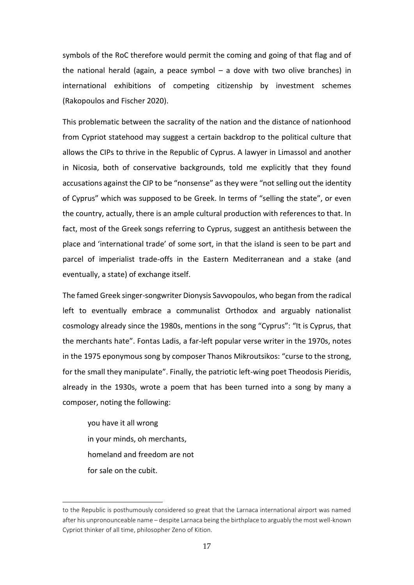symbols of the RoC therefore would permit the coming and going of that flag and of the national herald (again, a peace symbol  $-$  a dove with two olive branches) in international exhibitions of competing citizenship by investment schemes (Rakopoulos and Fischer 2020).

This problematic between the sacrality of the nation and the distance of nationhood from Cypriot statehood may suggest a certain backdrop to the political culture that allows the CIPs to thrive in the Republic of Cyprus. A lawyer in Limassol and another in Nicosia, both of conservative backgrounds, told me explicitly that they found accusations against the CIP to be "nonsense" as they were "not selling out the identity of Cyprus" which was supposed to be Greek. In terms of "selling the state", or even the country, actually, there is an ample cultural production with references to that. In fact, most of the Greek songs referring to Cyprus, suggest an antithesis between the place and 'international trade' of some sort, in that the island is seen to be part and parcel of imperialist trade-offs in the Eastern Mediterranean and a stake (and eventually, a state) of exchange itself.

The famed Greek singer-songwriter Dionysis Savvopoulos, who began from the radical left to eventually embrace a communalist Orthodox and arguably nationalist cosmology already since the 1980s, mentions in the song "Cyprus": "It is Cyprus, that the merchants hate". Fontas Ladis, a far-left popular verse writer in the 1970s, notes in the 1975 eponymous song by composer Thanos Mikroutsikos: "curse to the strong, for the small they manipulate". Finally, the patriotic left-wing poet Theodosis Pieridis, already in the 1930s, wrote a poem that has been turned into a song by many a composer, noting the following:

you have it all wrong in your minds, oh merchants, homeland and freedom are not for sale on the cubit.

to the Republic is posthumously considered so great that the Larnaca international airport was named after his unpronounceable name – despite Larnaca being the birthplace to arguably the most well-known Cypriot thinker of all time, philosopher Zeno of Kition.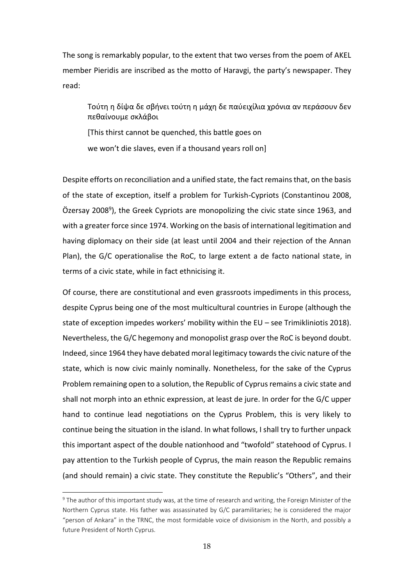The song is remarkably popular, to the extent that two verses from the poem of AKEL member Pieridis are inscribed as the motto of Haravgi, the party's newspaper. They read:

Τούτη η δίψα δε σβήνει τούτη η μάχη δε παύειχίλια χρόνια αν περάσουν δεν πεθαίνουμε σκλάβοι

[This thirst cannot be quenched, this battle goes on we won't die slaves, even if a thousand years roll on]

Despite efforts on reconciliation and a unified state, the fact remains that, on the basis of the state of exception, itself a problem for Turkish-Cypriots (Constantinou 2008, Özersay 2008<sup>9</sup>), the Greek Cypriots are monopolizing the civic state since 1963, and with a greater force since 1974. Working on the basis of international legitimation and having diplomacy on their side (at least until 2004 and their rejection of the Annan Plan), the G/C operationalise the RoC, to large extent a de facto national state, in terms of a civic state, while in fact ethnicising it.

Of course, there are constitutional and even grassroots impediments in this process, despite Cyprus being one of the most multicultural countries in Europe (although the state of exception impedes workers' mobility within the EU – see Trimikliniotis 2018). Nevertheless, the G/C hegemony and monopolist grasp over the RoC is beyond doubt. Indeed, since 1964 they have debated moral legitimacy towards the civic nature of the state, which is now civic mainly nominally. Nonetheless, for the sake of the Cyprus Problem remaining open to a solution, the Republic of Cyprus remains a civic state and shall not morph into an ethnic expression, at least de jure. In order for the G/C upper hand to continue lead negotiations on the Cyprus Problem, this is very likely to continue being the situation in the island. In what follows, I shall try to further unpack this important aspect of the double nationhood and "twofold" statehood of Cyprus. I pay attention to the Turkish people of Cyprus, the main reason the Republic remains (and should remain) a civic state. They constitute the Republic's "Others", and their

<sup>&</sup>lt;sup>9</sup> The author of this important study was, at the time of research and writing, the Foreign Minister of the Northern Cyprus state. His father was assassinated by G/C paramilitaries; he is considered the major "person of Ankara" in the TRNC, the most formidable voice of divisionism in the North, and possibly a future President of North Cyprus.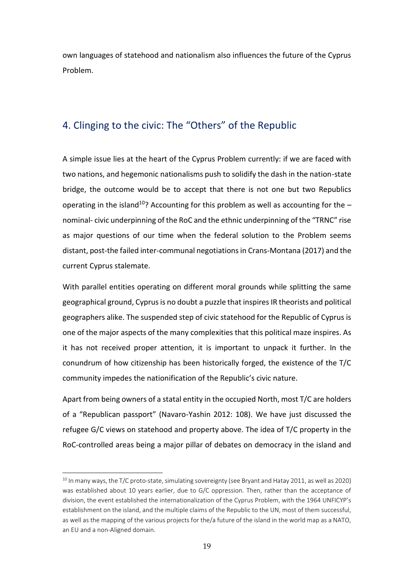own languages of statehood and nationalism also influences the future of the Cyprus Problem.

## <span id="page-19-0"></span>4. Clinging to the civic: The "Others" of the Republic

A simple issue lies at the heart of the Cyprus Problem currently: if we are faced with two nations, and hegemonic nationalisms push to solidify the dash in the nation-state bridge, the outcome would be to accept that there is not one but two Republics operating in the island<sup>10</sup>? Accounting for this problem as well as accounting for the  $$ nominal- civic underpinning of the RoC and the ethnic underpinning of the "TRNC" rise as major questions of our time when the federal solution to the Problem seems distant, post-the failed inter-communal negotiations in Crans-Montana (2017) and the current Cyprus stalemate.

With parallel entities operating on different moral grounds while splitting the same geographical ground, Cyprus is no doubt a puzzle that inspires IR theorists and political geographers alike. The suspended step of civic statehood for the Republic of Cyprus is one of the major aspects of the many complexities that this political maze inspires. As it has not received proper attention, it is important to unpack it further. In the conundrum of how citizenship has been historically forged, the existence of the T/C community impedes the nationification of the Republic's civic nature.

Apart from being owners of a statal entity in the occupied North, most T/C are holders of a "Republican passport" (Navaro-Yashin 2012: 108). We have just discussed the refugee G/C views on statehood and property above. The idea of T/C property in the RoC-controlled areas being a major pillar of debates on democracy in the island and

 $10$  In many ways, the T/C proto-state, simulating sovereignty (see Bryant and Hatay 2011, as well as 2020) was established about 10 years earlier, due to G/C oppression. Then, rather than the acceptance of division, the event established the internationalization of the Cyprus Problem, with the 1964 UNFICYP's establishment on the island, and the multiple claims of the Republic to the UN, most of them successful, as well as the mapping of the various projects for the/a future of the island in the world map as a NATO, an EU and a non-Aligned domain.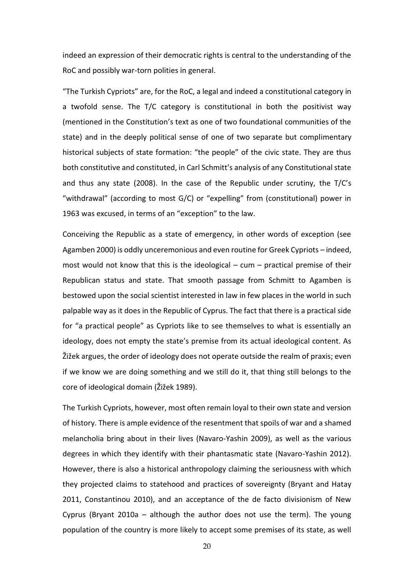indeed an expression of their democratic rights is central to the understanding of the RoC and possibly war-torn polities in general.

"The Turkish Cypriots" are, for the RoC, a legal and indeed a constitutional category in a twofold sense. The T/C category is constitutional in both the positivist way (mentioned in the Constitution's text as one of two foundational communities of the state) and in the deeply political sense of one of two separate but complimentary historical subjects of state formation: "the people" of the civic state. They are thus both constitutive and constituted, in Carl Schmitt's analysis of any Constitutional state and thus any state (2008). In the case of the Republic under scrutiny, the  $T/C's$ "withdrawal" (according to most G/C) or "expelling" from (constitutional) power in 1963 was excused, in terms of an "exception" to the law.

Conceiving the Republic as a state of emergency, in other words of exception (see Agamben 2000) is oddly unceremonious and even routine for Greek Cypriots – indeed, most would not know that this is the ideological – cum – practical premise of their Republican status and state. That smooth passage from Schmitt to Agamben is bestowed upon the social scientist interested in law in few places in the world in such palpable way as it does in the Republic of Cyprus. The fact that there is a practical side for "a practical people" as Cypriots like to see themselves to what is essentially an ideology, does not empty the state's premise from its actual ideological content. As Žižek argues, the order of ideology does not operate outside the realm of praxis; even if we know we are doing something and we still do it, that thing still belongs to the core of ideological domain (Žižek 1989).

The Turkish Cypriots, however, most often remain loyal to their own state and version of history. There is ample evidence of the resentment that spoils of war and a shamed melancholia bring about in their lives (Navaro-Yashin 2009), as well as the various degrees in which they identify with their phantasmatic state (Navaro-Yashin 2012). However, there is also a historical anthropology claiming the seriousness with which they projected claims to statehood and practices of sovereignty (Bryant and Hatay 2011, Constantinou 2010), and an acceptance of the de facto divisionism of New Cyprus (Bryant 2010a – although the author does not use the term). The young population of the country is more likely to accept some premises of its state, as well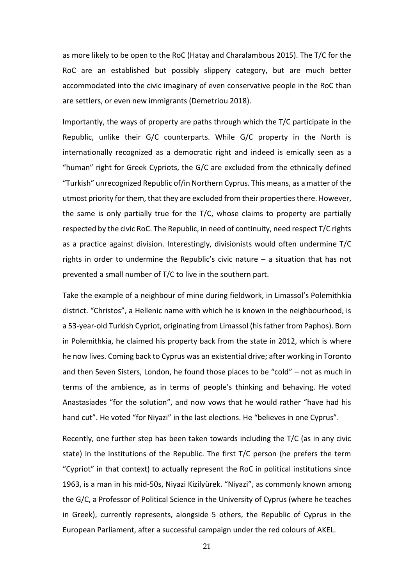as more likely to be open to the RoC (Hatay and Charalambous 2015). The T/C for the RoC are an established but possibly slippery category, but are much better accommodated into the civic imaginary of even conservative people in the RoC than are settlers, or even new immigrants (Demetriou 2018).

Importantly, the ways of property are paths through which the T/C participate in the Republic, unlike their G/C counterparts. While G/C property in the North is internationally recognized as a democratic right and indeed is emically seen as a "human" right for Greek Cypriots, the G/C are excluded from the ethnically defined "Turkish" unrecognized Republic of/in Northern Cyprus. This means, as a matter of the utmost priority for them, that they are excluded from their properties there. However, the same is only partially true for the T/C, whose claims to property are partially respected by the civic RoC. The Republic, in need of continuity, need respect T/C rights as a practice against division. Interestingly, divisionists would often undermine T/C rights in order to undermine the Republic's civic nature – a situation that has not prevented a small number of T/C to live in the southern part.

Take the example of a neighbour of mine during fieldwork, in Limassol's Polemithkia district. "Christos", a Hellenic name with which he is known in the neighbourhood, is a 53-year-old Turkish Cypriot, originating from Limassol (his father from Paphos). Born in Polemithkia, he claimed his property back from the state in 2012, which is where he now lives. Coming back to Cyprus was an existential drive; after working in Toronto and then Seven Sisters, London, he found those places to be "cold" – not as much in terms of the ambience, as in terms of people's thinking and behaving. He voted Anastasiades "for the solution", and now vows that he would rather "have had his hand cut". He voted "for Niyazi" in the last elections. He "believes in one Cyprus".

Recently, one further step has been taken towards including the T/C (as in any civic state) in the institutions of the Republic. The first T/C person (he prefers the term "Cypriot" in that context) to actually represent the RoC in political institutions since 1963, is a man in his mid-50s, Niyazi Kizilyürek. "Niyazi", as commonly known among the G/C, a Professor of Political Science in the University of Cyprus (where he teaches in Greek), currently represents, alongside 5 others, the Republic of Cyprus in the European Parliament, after a successful campaign under the red colours of AKEL.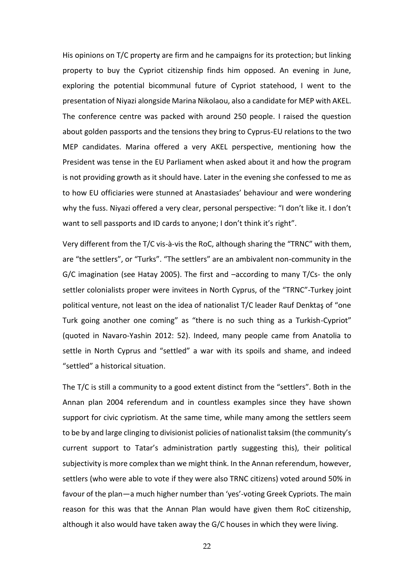His opinions on T/C property are firm and he campaigns for its protection; but linking property to buy the Cypriot citizenship finds him opposed. An evening in June, exploring the potential bicommunal future of Cypriot statehood, I went to the presentation of Niyazi alongside Marina Nikolaou, also a candidate for MEP with AKEL. The conference centre was packed with around 250 people. I raised the question about golden passports and the tensions they bring to Cyprus-EU relations to the two MEP candidates. Marina offered a very AKEL perspective, mentioning how the President was tense in the EU Parliament when asked about it and how the program is not providing growth as it should have. Later in the evening she confessed to me as to how EU officiaries were stunned at Anastasiades' behaviour and were wondering why the fuss. Niyazi offered a very clear, personal perspective: "I don't like it. I don't want to sell passports and ID cards to anyone; I don't think it's right".

Very different from the T/C vis-à-vis the RoC, although sharing the "TRNC" with them, are "the settlers", or "Turks". "The settlers" are an ambivalent non-community in the G/C imagination (see Hatay 2005). The first and –according to many T/Cs- the only settler colonialists proper were invitees in North Cyprus, of the "TRNC"-Turkey joint political venture, not least on the idea of nationalist T/C leader Rauf Denktaş of "one Turk going another one coming" as "there is no such thing as a Turkish-Cypriot" (quoted in Navaro-Yashin 2012: 52). Indeed, many people came from Anatolia to settle in North Cyprus and "settled" a war with its spoils and shame, and indeed "settled" a historical situation.

The T/C is still a community to a good extent distinct from the "settlers". Both in the Annan plan 2004 referendum and in countless examples since they have shown support for civic cypriotism. At the same time, while many among the settlers seem to be by and large clinging to divisionist policies of nationalist taksim (the community's current support to Tatar's administration partly suggesting this), their political subjectivity is more complex than we might think. In the Annan referendum, however, settlers (who were able to vote if they were also TRNC citizens) voted around 50% in favour of the plan—a much higher number than 'yes'-voting Greek Cypriots. The main reason for this was that the Annan Plan would have given them RoC citizenship, although it also would have taken away the G/C houses in which they were living.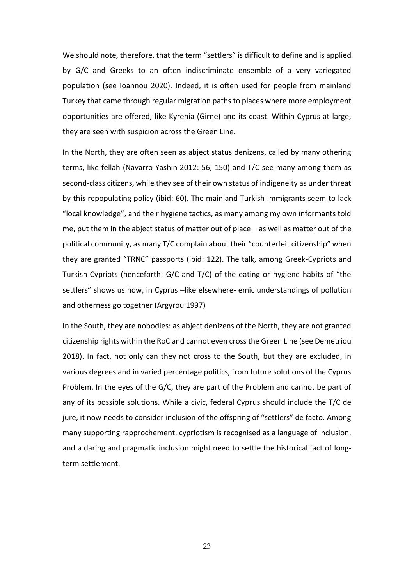We should note, therefore, that the term "settlers" is difficult to define and is applied by G/C and Greeks to an often indiscriminate ensemble of a very variegated population (see Ioannou 2020). Indeed, it is often used for people from mainland Turkey that came through regular migration paths to places where more employment opportunities are offered, like Kyrenia (Girne) and its coast. Within Cyprus at large, they are seen with suspicion across the Green Line.

In the North, they are often seen as abject status denizens, called by many othering terms, like fellah (Navarro-Yashin 2012: 56, 150) and T/C see many among them as second-class citizens, while they see of their own status of indigeneity as under threat by this repopulating policy (ibid: 60). The mainland Turkish immigrants seem to lack "local knowledge", and their hygiene tactics, as many among my own informants told me, put them in the abject status of matter out of place – as well as matter out of the political community, as many T/C complain about their "counterfeit citizenship" when they are granted "TRNC" passports (ibid: 122). The talk, among Greek-Cypriots and Turkish-Cypriots (henceforth: G/C and T/C) of the eating or hygiene habits of "the settlers" shows us how, in Cyprus –like elsewhere- emic understandings of pollution and otherness go together (Argyrou 1997)

In the South, they are nobodies: as abject denizens of the North, they are not granted citizenship rights within the RoC and cannot even cross the Green Line (see Demetriou 2018). In fact, not only can they not cross to the South, but they are excluded, in various degrees and in varied percentage politics, from future solutions of the Cyprus Problem. In the eyes of the G/C, they are part of the Problem and cannot be part of any of its possible solutions. While a civic, federal Cyprus should include the T/C de jure, it now needs to consider inclusion of the offspring of "settlers" de facto. Among many supporting rapprochement, cypriotism is recognised as a language of inclusion, and a daring and pragmatic inclusion might need to settle the historical fact of longterm settlement.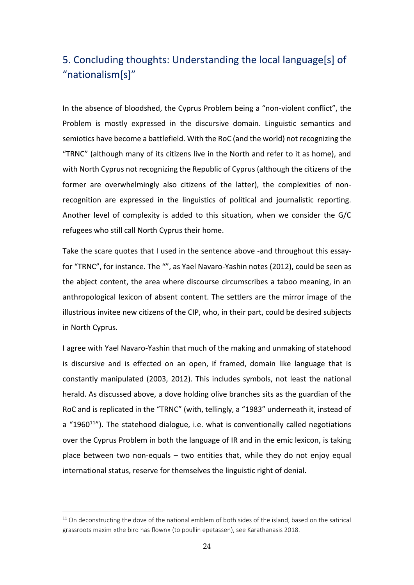# <span id="page-24-0"></span>5. Concluding thoughts: Understanding the local language[s] of "nationalism[s]"

In the absence of bloodshed, the Cyprus Problem being a "non-violent conflict", the Problem is mostly expressed in the discursive domain. Linguistic semantics and semiotics have become a battlefield. With the RoC (and the world) not recognizing the "TRNC" (although many of its citizens live in the North and refer to it as home), and with North Cyprus not recognizing the Republic of Cyprus (although the citizens of the former are overwhelmingly also citizens of the latter), the complexities of nonrecognition are expressed in the linguistics of political and journalistic reporting. Another level of complexity is added to this situation, when we consider the G/C refugees who still call North Cyprus their home.

Take the scare quotes that I used in the sentence above -and throughout this essayfor "TRNC", for instance. The "", as Yael Navaro-Yashin notes (2012), could be seen as the abject content, the area where discourse circumscribes a taboo meaning, in an anthropological lexicon of absent content. The settlers are the mirror image of the illustrious invitee new citizens of the CIP, who, in their part, could be desired subjects in North Cyprus.

I agree with Yael Navaro-Yashin that much of the making and unmaking of statehood is discursive and is effected on an open, if framed, domain like language that is constantly manipulated (2003, 2012). This includes symbols, not least the national herald. As discussed above, a dove holding olive branches sits as the guardian of the RoC and is replicated in the "TRNC" (with, tellingly, a "1983" underneath it, instead of a "1960 $11$ "). The statehood dialogue, i.e. what is conventionally called negotiations over the Cyprus Problem in both the language of IR and in the emic lexicon, is taking place between two non-equals – two entities that, while they do not enjoy equal international status, reserve for themselves the linguistic right of denial.

 $11$  On deconstructing the dove of the national emblem of both sides of the island, based on the satirical grassroots maxim «the bird has flown» (to poullin epetassen), see Karathanasis 2018.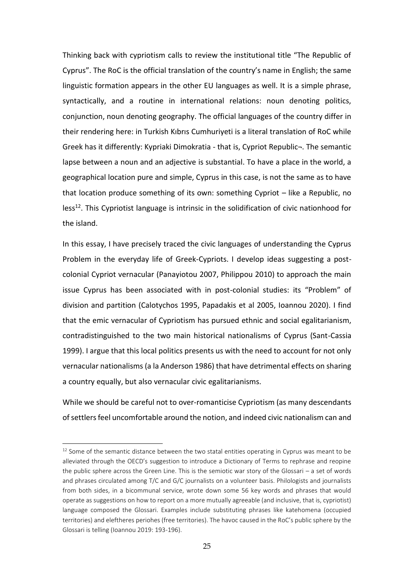Thinking back with cypriotism calls to review the institutional title "The Republic of Cyprus". The RoC is the official translation of the country's name in English; the same linguistic formation appears in the other EU languages as well. It is a simple phrase, syntactically, and a routine in international relations: noun denoting politics, conjunction, noun denoting geography. The official languages of the country differ in their rendering here: in Turkish Kıbrıs Cumhuriyeti is a literal translation of RoC while Greek has it differently: Kypriaki Dimokratia - that is, Cypriot Republic¬. The semantic lapse between a noun and an adjective is substantial. To have a place in the world, a geographical location pure and simple, Cyprus in this case, is not the same as to have that location produce something of its own: something Cypriot – like a Republic, no  $less<sup>12</sup>$ . This Cypriotist language is intrinsic in the solidification of civic nationhood for the island.

In this essay, I have precisely traced the civic languages of understanding the Cyprus Problem in the everyday life of Greek-Cypriots. I develop ideas suggesting a postcolonial Cypriot vernacular (Panayiotou 2007, Philippou 2010) to approach the main issue Cyprus has been associated with in post-colonial studies: its "Problem" of division and partition (Calotychos 1995, Papadakis et al 2005, Ioannou 2020). I find that the emic vernacular of Cypriotism has pursued ethnic and social egalitarianism, contradistinguished to the two main historical nationalisms of Cyprus (Sant-Cassia 1999). I argue that this local politics presents us with the need to account for not only vernacular nationalisms (a la Anderson 1986) that have detrimental effects on sharing a country equally, but also vernacular civic egalitarianisms.

While we should be careful not to over-romanticise Cypriotism (as many descendants of settlers feel uncomfortable around the notion, and indeed civic nationalism can and

 $12$  Some of the semantic distance between the two statal entities operating in Cyprus was meant to be alleviated through the OECD's suggestion to introduce a Dictionary of Terms to rephrase and reopine the public sphere across the Green Line. This is the semiotic war story of the Glossari – a set of words and phrases circulated among T/C and G/C journalists on a volunteer basis. Philologists and journalists from both sides, in a bicommunal service, wrote down some 56 key words and phrases that would operate as suggestions on how to report on a more mutually agreeable (and inclusive, that is, cypriotist) language composed the Glossari. Examples include substituting phrases like katehomena (occupied territories) and eleftheres periohes (free territories). The havoc caused in the RoC's public sphere by the Glossari is telling (Ioannou 2019: 193-196).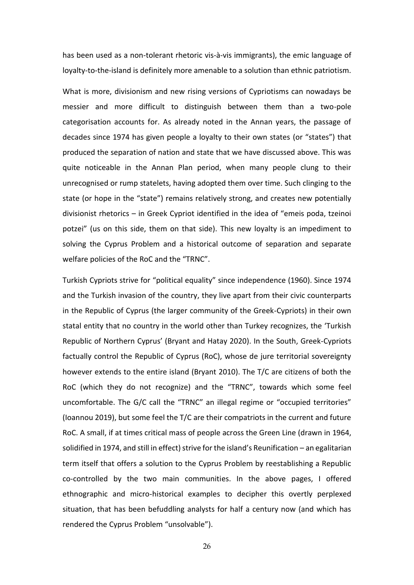has been used as a non-tolerant rhetoric vis-à-vis immigrants), the emic language of loyalty-to-the-island is definitely more amenable to a solution than ethnic patriotism.

What is more, divisionism and new rising versions of Cypriotisms can nowadays be messier and more difficult to distinguish between them than a two-pole categorisation accounts for. As already noted in the Annan years, the passage of decades since 1974 has given people a loyalty to their own states (or "states") that produced the separation of nation and state that we have discussed above. This was quite noticeable in the Annan Plan period, when many people clung to their unrecognised or rump statelets, having adopted them over time. Such clinging to the state (or hope in the "state") remains relatively strong, and creates new potentially divisionist rhetorics – in Greek Cypriot identified in the idea of "emeis poda, tzeinoi potzei" (us on this side, them on that side). This new loyalty is an impediment to solving the Cyprus Problem and a historical outcome of separation and separate welfare policies of the RoC and the "TRNC".

Turkish Cypriots strive for "political equality" since independence (1960). Since 1974 and the Turkish invasion of the country, they live apart from their civic counterparts in the Republic of Cyprus (the larger community of the Greek-Cypriots) in their own statal entity that no country in the world other than Turkey recognizes, the 'Turkish Republic of Northern Cyprus' (Bryant and Hatay 2020). In the South, Greek-Cypriots factually control the Republic of Cyprus (RoC), whose de jure territorial sovereignty however extends to the entire island (Bryant 2010). The T/C are citizens of both the RoC (which they do not recognize) and the "TRNC", towards which some feel uncomfortable. The G/C call the "TRNC" an illegal regime or "occupied territories" (Ioannou 2019), but some feel the T/C are their compatriots in the current and future RoC. A small, if at times critical mass of people across the Green Line (drawn in 1964, solidified in 1974, and still in effect) strive for the island's Reunification – an egalitarian term itself that offers a solution to the Cyprus Problem by reestablishing a Republic co-controlled by the two main communities. In the above pages, I offered ethnographic and micro-historical examples to decipher this overtly perplexed situation, that has been befuddling analysts for half a century now (and which has rendered the Cyprus Problem "unsolvable").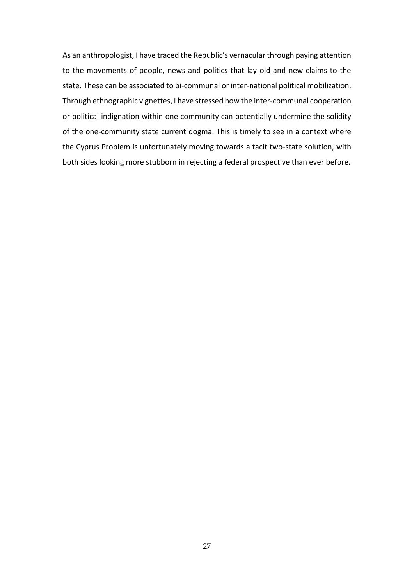As an anthropologist, I have traced the Republic's vernacular through paying attention to the movements of people, news and politics that lay old and new claims to the state. These can be associated to bi-communal or inter-national political mobilization. Through ethnographic vignettes, I have stressed how the inter-communal cooperation or political indignation within one community can potentially undermine the solidity of the one-community state current dogma. This is timely to see in a context where the Cyprus Problem is unfortunately moving towards a tacit two-state solution, with both sides looking more stubborn in rejecting a federal prospective than ever before.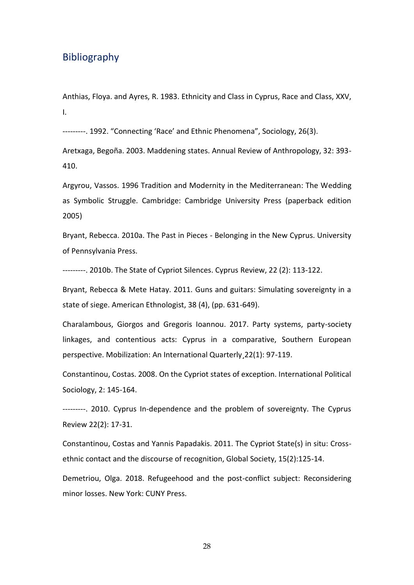### <span id="page-28-0"></span>Bibliography

Anthias, Floya. and Ayres, R. 1983. Ethnicity and Class in Cyprus, Race and Class, XXV, I.

---------. 1992. "Connecting 'Race' and Ethnic Phenomena", Sociology, 26(3).

Aretxaga, Begoña. 2003. Maddening states. Annual Review of Anthropology, 32: 393- 410.

Argyrou, Vassos. 1996 Tradition and Modernity in the Mediterranean: The Wedding as Symbolic Struggle. Cambridge: Cambridge University Press (paperback edition 2005)

Bryant, Rebecca. 2010a. The Past in Pieces - Belonging in the New Cyprus. University of Pennsylvania Press.

---------. 2010b. The State of Cypriot Silences. Cyprus Review, 22 (2): 113-122.

Bryant, Rebecca & Mete Hatay. 2011. Guns and guitars: Simulating sovereignty in a state of siege. American Ethnologist, 38 (4), (pp. 631-649).

Charalambous, Giorgos and Gregoris Ioannou. 2017. Party systems, party-society linkages, and contentious acts: Cyprus in a comparative, Southern European perspective. Mobilization: An International Quarterly¸22(1): 97-119.

Constantinou, Costas. 2008. On the Cypriot states of exception. International Political Sociology, 2: 145-164.

---------. 2010. Cyprus In-dependence and the problem of sovereignty. The Cyprus Review 22(2): 17-31.

Constantinou, Costas and Yannis Papadakis. 2011. The Cypriot State(s) in situ: Crossethnic contact and the discourse of recognition, Global Society, 15(2):125-14.

Demetriou, Olga. 2018. Refugeehood and the post-conflict subject: Reconsidering minor losses. New York: CUNY Press.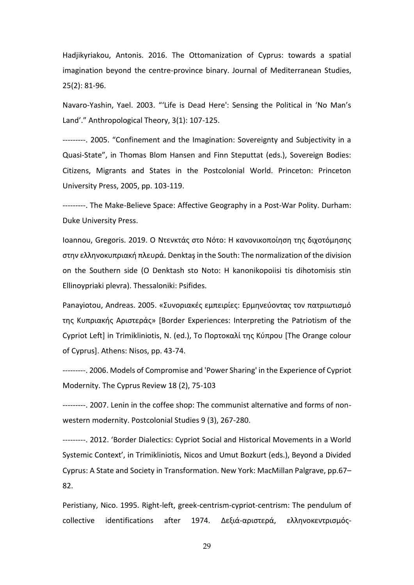Hadjikyriakou, Antonis. 2016. The Ottomanization of Cyprus: towards a spatial imagination beyond the centre-province binary. Journal of Mediterranean Studies, 25(2): 81-96.

Navaro-Yashin, Yael. 2003. "'Life is Dead Here': Sensing the Political in 'No Man's Land'." Anthropological Theory, 3(1): 107-125.

---------. 2005. "Confinement and the Imagination: Sovereignty and Subjectivity in a Quasi-State", in Thomas Blom Hansen and Finn Steputtat (eds.), Sovereign Bodies: Citizens, Migrants and States in the Postcolonial World. Princeton: Princeton University Press, 2005, pp. 103-119.

---------. The Make-Believe Space: Affective Geography in a Post-War Polity. Durham: Duke University Press.

Ioannou, Gregoris. 2019. O Ντενκτάς στο Νότο: Η κανονικοποίηση της διχοτόμησης στην ελληνοκυπριακή πλευρά. Denktaşin the South: The normalization of the division on the Southern side (O Denktash sto Noto: H kanonikopoiisi tis dihotomisis stin Ellinoypriaki plevra). Thessaloniki: Psifides.

Panayiotou, Andreas. 2005. «Συνοριακές εμπειρίες: Ερμηνεύοντας τον πατριωτισμό της Κυπριακής Αριστεράς» [Border Experiences: Interpreting the Patriotism of the Cypriot Left] in Trimikliniotis, N. (ed.), Το Πορτοκαλί της Κύπρου [The Orange colour of Cyprus]. Athens: Nisos, pp. 43-74.

---------. 2006. Models of Compromise and 'Power Sharing' in the Experience of Cypriot Modernity. The Cyprus Review 18 (2), 75-103

---------. 2007. Lenin in the coffee shop: The communist alternative and forms of nonwestern modernity. Postcolonial Studies 9 (3), 267-280.

---------. 2012. 'Border Dialectics: Cypriot Social and Historical Movements in a World Systemic Context', in Trimikliniotis, Nicos and Umut Bozkurt (eds.), Beyond a Divided Cyprus: A State and Society in Transformation. New York: MacMillan Palgrave, pp.67– 82.

Peristiany, Nico. 1995. Right-left, greek-centrism-cypriot-centrism: The pendulum of collective identifications after 1974. Δεξιά-αριστερά, ελληνοκεντρισμός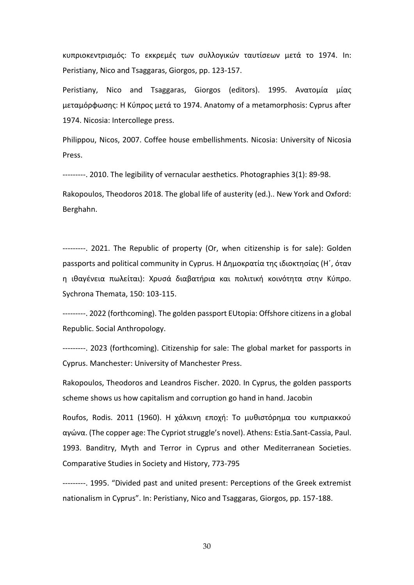κυπριοκεντρισμός: Το εκκρεμές των συλλογικών ταυτίσεων μετά το 1974. Ιn: Peristiany, Nico and Tsaggaras, Giorgos, pp. 123-157.

Peristiany, Nico and Tsaggaras, Giorgos (editors). 1995. Ανατομία μίας μεταμόρφωσης: H Κύπρος μετά το 1974. Anatomy of a metamorphosis: Cyprus after 1974. Nicosia: Intercollege press.

Philippou, Nicos, 2007. Coffee house embellishments. Nicosia: University of Nicosia Press.

---------. 2010. The legibility of vernacular aesthetics. Photographies 3(1): 89-98.

Rakopoulos, Theodoros 2018. The global life of austerity (ed.).. New York and Oxford: Berghahn.

---------. 2021. The Republic of property (Or, when citizenship is for sale): Golden passports and political community in Cyprus. Η Δημοκρατία της ιδιοκτησίας (Η΄, όταν η ιθαγένεια πωλείται): Χρυσά διαβατήρια και πολιτική κοινότητα στην Κύπρο. Sychrona Themata, 150: 103-115.

---------. 2022 (forthcoming). The golden passport EUtopia: Offshore citizens in a global Republic. Social Anthropology.

---------. 2023 (forthcoming). Citizenship for sale: The global market for passports in Cyprus. Manchester: University of Manchester Press.

Rakopoulos, Theodoros and Leandros Fischer. 2020. In Cyprus, the golden passports scheme shows us how capitalism and corruption go hand in hand. Jacobin

Roufos, Rodis. 2011 (1960). Η χάλκινη εποχή: Το μυθιστόρημα του κυπριακκού αγώνα. (The copper age: The Cypriot struggle's novel). Athens: Estia.Sant-Cassia, Paul. 1993. Banditry, Myth and Terror in Cyprus and other Mediterranean Societies. Comparative Studies in Society and History, 773-795

---------. 1995. "Divided past and united present: Perceptions of the Greek extremist nationalism in Cyprus". In: Peristiany, Nico and Tsaggaras, Giorgos, pp. 157-188.